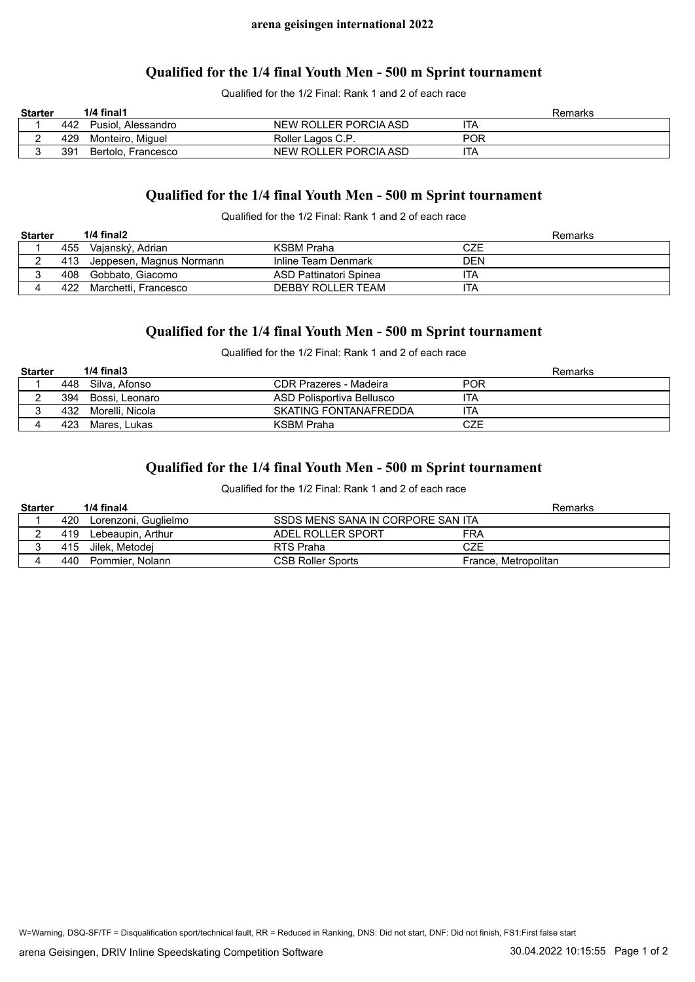### **Qualified for the 1/4 final Youth Men - 500 m Sprint tournament**

Qualified for the 1/2 Final: Rank 1 and 2 of each race

| <b>Starter</b> |     | $1/4$ final1       |                       | Remarks    |
|----------------|-----|--------------------|-----------------------|------------|
|                | 442 | Pusiol. Alessandro | NEW ROLLER PORCIA ASD | ITA        |
|                | 429 | Monteiro. Miauel   | Roller Lagos C.P.     | <b>POR</b> |
|                | 391 | Bertolo, Francesco | NEW ROLLER PORCIA ASD | ITA        |

# **Qualified for the 1/4 final Youth Men - 500 m Sprint tournament**

Qualified for the 1/2 Final: Rank 1 and 2 of each race

| <b>Starter</b> |     | $1/4$ final $2$              |                        | Remarks |
|----------------|-----|------------------------------|------------------------|---------|
|                | 455 | Vajanský, Adrian             | KSBM Praha             | CZE     |
|                |     | 413 Jeppesen, Magnus Normann | Inline Team Denmark    | DEN     |
|                |     | 408 Gobbato, Giacomo         | ASD Pattinatori Spinea | ITA     |
|                | 422 | Marchetti. Francesco         | DEBBY ROLLER TEAM      | ITA     |

# **Qualified for the 1/4 final Youth Men - 500 m Sprint tournament**

Qualified for the 1/2 Final: Rank 1 and 2 of each race

| <b>Starter</b> |     | $1/4$ final $3$ |                           | Remarks |
|----------------|-----|-----------------|---------------------------|---------|
|                | 448 | Silva. Afonso   | CDR Prazeres - Madeira    | POR     |
|                | 394 | Bossi. Leonaro  | ASD Polisportiva Bellusco | ١TA     |
|                | 432 | Morelli. Nicola | SKATING FONTANAFREDDA     | ۱TA     |
|                | 423 | Mares. Lukas    | KSBM Praha                | CZE     |

## **Qualified for the 1/4 final Youth Men - 500 m Sprint tournament**

Qualified for the 1/2 Final: Rank 1 and 2 of each race

| <b>Starter</b> |      | $1/4$ final $4$      |                                   | Remarks              |
|----------------|------|----------------------|-----------------------------------|----------------------|
|                | 420  | Lorenzoni, Guglielmo | SSDS MENS SANA IN CORPORE SAN ITA |                      |
|                | 419  | Lebeaupin, Arthur    | ADEL ROLLER SPORT                 | FRA                  |
|                | 415. | Jilek. Metodei       | RTS Praha                         | CZE                  |
|                | 440  | Pommier, Nolann      | <b>CSB Roller Sports</b>          | France, Metropolitan |